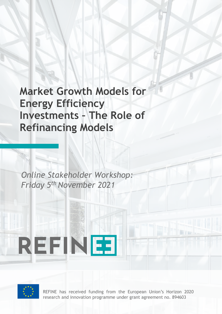**Market Growth Models for Energy Efficiency Investments – The Role of Refinancing Models**

CASE STUDIES ON EXISTING REFINANCING INSTRUMENTS FOR ENERGY EFFICIENCY

*Online Stakeholder Workshop: Friday 5th November 2021*

REFINEE



SERVICES

REFINE has received funding from the European Union's Horizon 2020 research and innovation programme under grant agreement no. 894603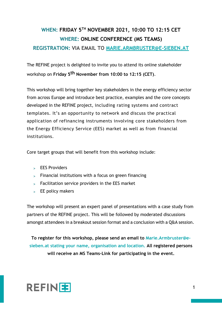## **WHEN: FRIDAY 5TH NOVEMBER 2021, 10:00 TO 12:15 CET WHERE: ONLINE CONFERENCE (MS TEAMS)**

## **REGISTRATION: VIA EMAIL TO [MARIE.ARMBRUSTER@E-SIEBEN.AT](mailto:Marie.Armbruster@e-sieben.at)**

The REFINE project is delighted to invite you to attend its online stakeholder workshop on **Friday 5th November from 10:00 to 12:15 (CET)**.

This workshop will bring together key stakeholders in the energy efficiency sector from across Europe and introduce best practice, examples and the core concepts developed in the REFINE project, including rating systems and contract templates. It's an opportunity to network and discuss the practical application of refinancing instruments involving core stakeholders from the Energy Efficiency Service (EES) market as well as from financial institutions.

Core target groups that will benefit from this workshop include:

- $\geq$  EES Providers
- $>$  Financial institutions with a focus on green financing
- $>$  Facilitation service providers in the EES market
- $>$  EE policy makers

The workshop will present an expert panel of presentations with a case study from partners of the REFINE project. This will be followed by moderated discussions amongst attendees in a breakout session format and a conclusion with a Q&A session.

**To register for this workshop, please send an email to [Marie.Armbruster@e](mailto:Marie.Armbruster@e-sieben.at)[sieben.at stating your name, organisation and location. All registered persons](mailto:Marie.Armbruster@e-sieben.at) [will r](mailto:Marie.Armbruster@e-sieben.at)eceive an MS Teams-Link for participating in the event.**

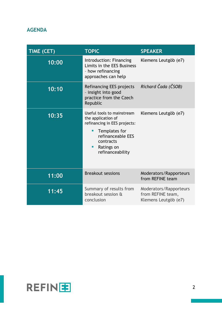## **AGENDA**

| TIME (CET) | <b>TOPIC</b>                                                                                                                                                               | <b>SPEAKER</b>                                                      |
|------------|----------------------------------------------------------------------------------------------------------------------------------------------------------------------------|---------------------------------------------------------------------|
| 10:00      | Introduction: Financing<br>Limits in the EES Business<br>- how refinancing<br>approaches can help                                                                          | Klemens Leutgöb (e7)                                                |
| 10:10      | Refinancing EES projects<br>- insight into good<br>practice from the Czech<br>Republic                                                                                     | Richard Čada (ČSOB)                                                 |
| 10:35      | Useful tools to mainstream<br>the application of<br>refinancing in EES projects:<br>Templates for<br>п<br>refinanceable EES<br>contracts<br>Ratings on<br>refinanceability | Klemens Leutgöb (e7)                                                |
| 11:00      | <b>Breakout sessions</b>                                                                                                                                                   | Moderators/Rapporteurs<br>from REFINE team                          |
| 11:45      | Summary of results from<br>breakout session &<br>conclusion                                                                                                                | Moderators/Rapporteurs<br>from REFINE team,<br>Klemens Leutgöb (e7) |

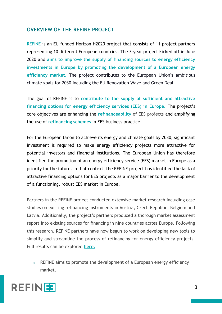## **OVERVIEW OF THE REFINE PROJECT**

REFINE is an EU-funded Horizon H2020 project that consists of 11 project partners representing 10 different European countries. The 3-year project kicked off in June 2020 and **aims to improve the supply of financing sources to energy efficiency investments in Europe by promoting the development of a European energy efficiency market.** The project contributes to the European Union's ambitious climate goals for 2030 including the EU Renovation Wave and Green Deal.

The goal of REFINE is to **contribute to the supply of sufficient and attractive financing options for energy efficiency services (EES) in Europe.** The project's core objectives are enhancing the **refinanceability** of EES projects and amplifying the use of **refinancing schemes** in EES business practice.

For the European Union to achieve its energy and climate goals by 2030, significant investment is required to make energy efficiency projects more attractive for potential investors and financial institutions. The European Union has therefore identified the promotion of an energy efficiency service (EES) market in Europe as a priority for the future. In that context, the REFINE project has identified the lack of attractive financing options for EES projects as a major barrier to the development of a functioning, robust EES market in Europe.

Partners in the REFINE project conducted extensive market research including case studies on existing refinancing instruments in Austria, Czech Republic, Belgium and Latvia. Additionally, the project's partners produced a thorough market assessment report into existing sources for financing in nine countries across Europe. Following this research, REFINE partners have now begun to work on developing new tools to simplify and streamline the process of refinancing for energy efficiency projects. Full results can be explored **[here.](https://refineproject.eu/refine-publications/)**

> REFINE aims to promote the development of a European energy efficiency market.